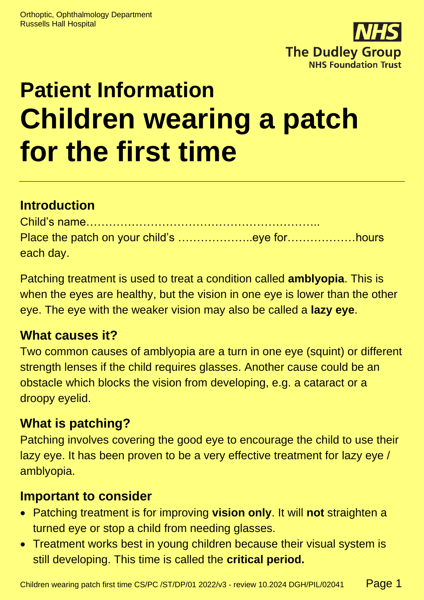

# **Patient Information Children wearing a patch for the first time**

# **Introduction**

| each day. |  |
|-----------|--|

Patching treatment is used to treat a condition called **amblyopia**. This is when the eyes are healthy, but the vision in one eye is lower than the other eye. The eye with the weaker vision may also be called a **lazy eye**.

### **What causes it?**

Two common causes of amblyopia are a turn in one eye (squint) or different strength lenses if the child requires glasses. Another cause could be an obstacle which blocks the vision from developing, e.g. a cataract or a droopy eyelid.

# **What is patching?**

Patching involves covering the good eye to encourage the child to use their lazy eye. It has been proven to be a very effective treatment for lazy eye / amblyopia.

### **Important to consider**

- Patching treatment is for improving **vision only**. It will **not** straighten a turned eye or stop a child from needing glasses.
- Treatment works best in young children because their visual system is still developing. This time is called the **critical period.**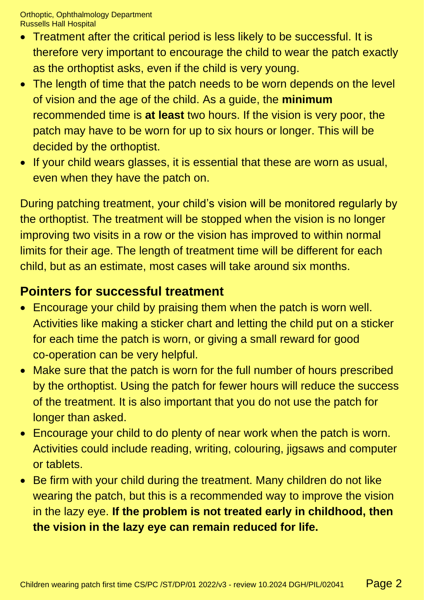Orthoptic, Ophthalmology Department Russells Hall Hospital

- Treatment after the critical period is less likely to be successful. It is therefore very important to encourage the child to wear the patch exactly as the orthoptist asks, even if the child is very young.
- The length of time that the patch needs to be worn depends on the level of vision and the age of the child. As a guide, the **minimum** recommended time is **at least** two hours. If the vision is very poor, the patch may have to be worn for up to six hours or longer. This will be decided by the orthoptist.
- If your child wears glasses, it is essential that these are worn as usual, even when they have the patch on.

During patching treatment, your child's vision will be monitored regularly by the orthoptist. The treatment will be stopped when the vision is no longer improving two visits in a row or the vision has improved to within normal limits for their age. The length of treatment time will be different for each child, but as an estimate, most cases will take around six months.

### **Pointers for successful treatment**

- Encourage your child by praising them when the patch is worn well. Activities like making a sticker chart and letting the child put on a sticker for each time the patch is worn, or giving a small reward for good co-operation can be very helpful.
- Make sure that the patch is worn for the full number of hours prescribed by the orthoptist. Using the patch for fewer hours will reduce the success of the treatment. It is also important that you do not use the patch for longer than asked.
- Encourage your child to do plenty of near work when the patch is worn. Activities could include reading, writing, colouring, jigsaws and computer or tablets.
- Be firm with your child during the treatment. Many children do not like wearing the patch, but this is a recommended way to improve the vision in the lazy eye. **If the problem is not treated early in childhood, then the vision in the lazy eye can remain reduced for life.**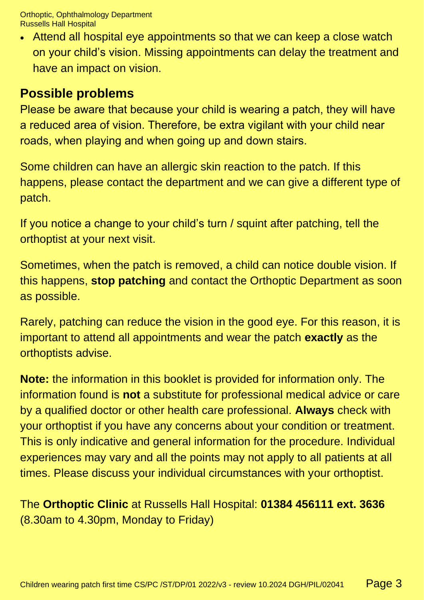Orthoptic, Ophthalmology Department Russells Hall Hospital

• Attend all hospital eye appointments so that we can keep a close watch on your child's vision. Missing appointments can delay the treatment and have an impact on vision.

### **Possible problems**

Please be aware that because your child is wearing a patch, they will have a reduced area of vision. Therefore, be extra vigilant with your child near roads, when playing and when going up and down stairs.

Some children can have an allergic skin reaction to the patch. If this happens, please contact the department and we can give a different type of patch.

If you notice a change to your child's turn / squint after patching, tell the orthoptist at your next visit.

Sometimes, when the patch is removed, a child can notice double vision. If this happens, **stop patching** and contact the Orthoptic Department as soon as possible.

Rarely, patching can reduce the vision in the good eye. For this reason, it is important to attend all appointments and wear the patch **exactly** as the orthoptists advise.

**Note:** the information in this booklet is provided for information only. The information found is **not** a substitute for professional medical advice or care by a qualified doctor or other health care professional. **Always** check with your orthoptist if you have any concerns about your condition or treatment. This is only indicative and general information for the procedure. Individual experiences may vary and all the points may not apply to all patients at all times. Please discuss your individual circumstances with your orthoptist.

The **Orthoptic Clinic** at Russells Hall Hospital: **01384 456111 ext. 3636** (8.30am to 4.30pm, Monday to Friday)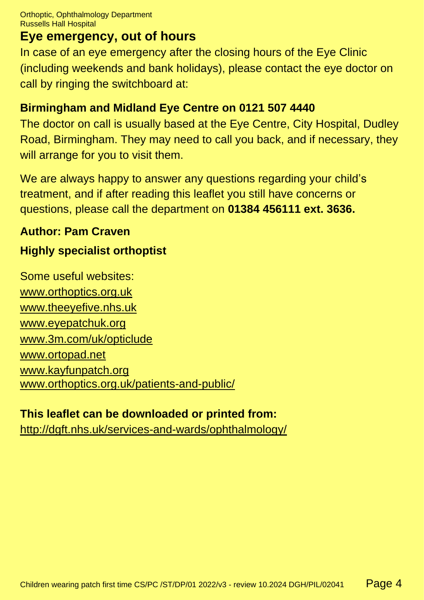### **Eye emergency, out of hours**

In case of an eye emergency after the closing hours of the Eye Clinic (including weekends and bank holidays), please contact the eye doctor on call by ringing the switchboard at:

#### **Birmingham and Midland Eye Centre on 0121 507 4440**

The doctor on call is usually based at the Eye Centre, City Hospital, Dudley Road, Birmingham. They may need to call you back, and if necessary, they will arrange for you to visit them.

We are always happy to answer any questions regarding your child's treatment, and if after reading this leaflet you still have concerns or questions, please call the department on **01384 456111 ext. 3636.**

#### **Author: Pam Craven**

## **Highly specialist orthoptist**

Some useful websites: [www.orthoptics.org.uk](http://www.orthoptics.org.uk/) [www.theeyefive.nhs.uk](http://www.theeyefive.nhs.uk/) [www.eyepatchuk.org](http://www.eyepatchuk.org/) [www.3m.com/uk/opticlude](http://www.3m.com/uk/opticlude) [www.ortopad.net](http://www.ortopad.net/) [www.kayfunpatch.org](http://www.kayfunpatch.org/) [www.orthoptics.org.uk/patients-and-public/](https://www.orthoptics.org.uk/patients-and-public/)

#### **This leaflet can be downloaded or printed from:**

[http://dgft.nhs.uk/services-and-wards/ophthalmology/](http://dudleygroup.nhs.uk/services-and-wards/ophthalmology/)